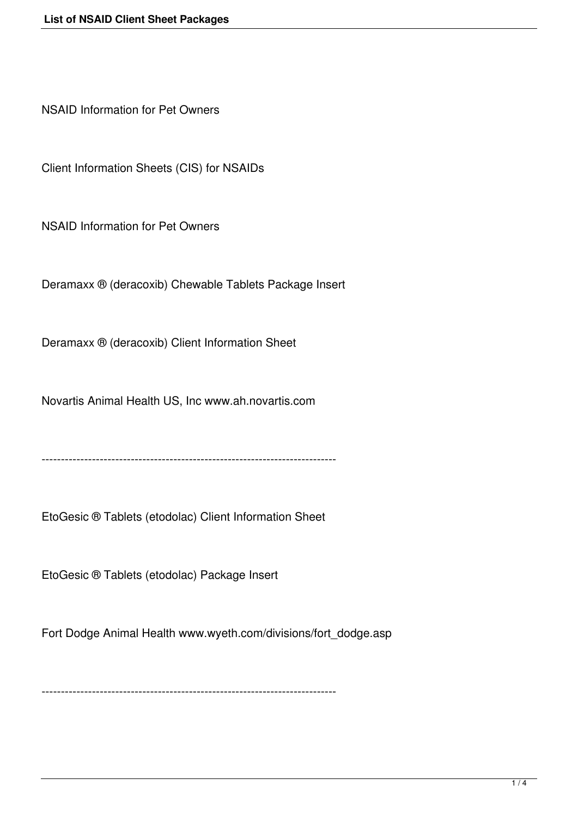NSAID Information for Pet Owners

Client Information Sheets (CIS) for NSAIDs

NSAID Information for Pet Owners

Deramaxx ® (deracoxib) Chewable Tablets Package Insert

Deramaxx ® (deracoxib) Client Information Sheet

Novartis Animal Health US, Inc www.ah.novartis.com

----------------------------------------------------------------------------

EtoGesic ® Tablets (etodolac) Client Information Sheet

EtoGesic ® Tablets (etodolac) Package Insert

Fort Dodge Animal Health www.wyeth.com/divisions/fort\_dodge.asp

----------------------------------------------------------------------------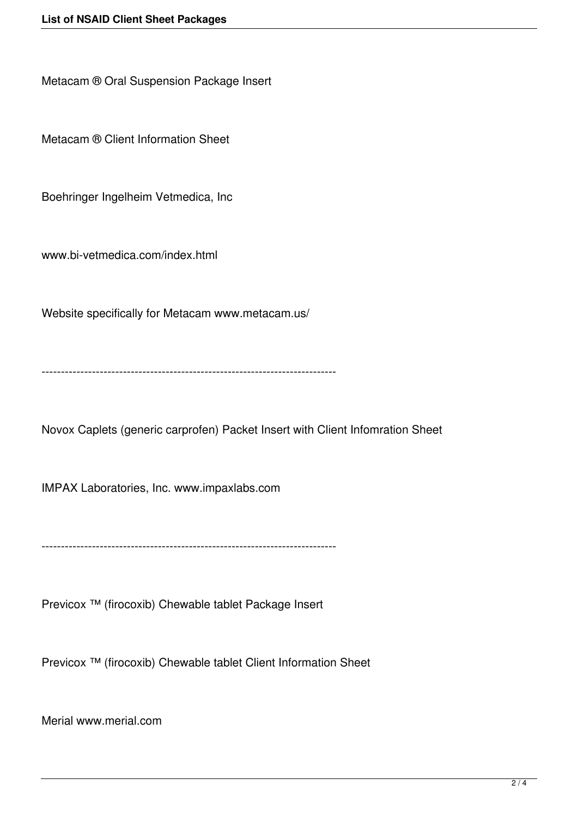Metacam ® Oral Suspension Package Insert

Metacam ® Client Information Sheet

Boehringer Ingelheim Vetmedica, Inc

www.bi-vetmedica.com/index.html

Website specifically for Metacam www.metacam.us/

----------------------------------------------------------------------------

Novox Caplets (generic carprofen) Packet Insert with Client Infomration Sheet

IMPAX Laboratories, Inc. www.impaxlabs.com

----------------------------------------------------------------------------

Previcox ™ (firocoxib) Chewable tablet Package Insert

Previcox ™ (firocoxib) Chewable tablet Client Information Sheet

Merial www.merial.com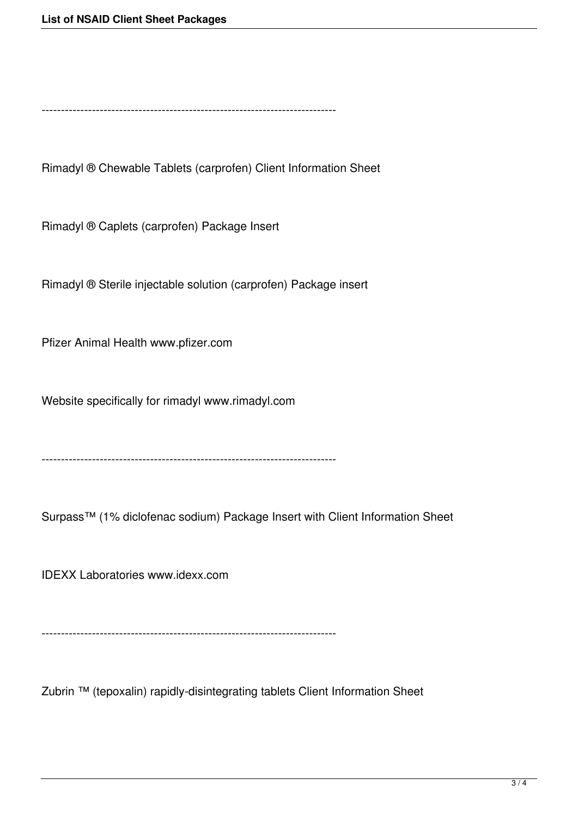----------------------------------------------------------------------------

Rimadyl ® Chewable Tablets (carprofen) Client Information Sheet

Rimadyl ® Caplets (carprofen) Package Insert

Rimadyl ® Sterile injectable solution (carprofen) Package insert

Pfizer Animal Health www.pfizer.com

Website specifically for rimadyl www.rimadyl.com

----------------------------------------------------------------------------

Surpass™ (1% diclofenac sodium) Package Insert with Client Information Sheet

IDEXX Laboratories www.idexx.com

----------------------------------------------------------------------------

Zubrin ™ (tepoxalin) rapidly-disintegrating tablets Client Information Sheet